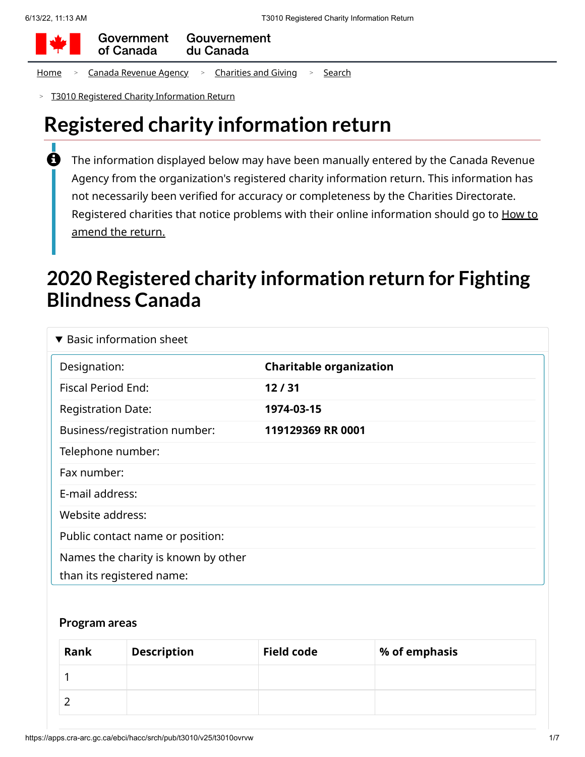

Government Gouvernement of Canada du Canada

[Home](https://apps.cra-arc.gc.ca/ebci/hacc/srch/pub/rdrctToLnk?linkKey=breadcrumbHome) > Canada [Revenue](https://apps.cra-arc.gc.ca/ebci/hacc/srch/pub/rdrctToLnk?linkKey=breadcrumbCRA) Agency > [Charities](https://apps.cra-arc.gc.ca/ebci/hacc/srch/pub/rdrctToLnk?linkKey=breadcrumbCharities) and Giving > [Search](https://apps.cra-arc.gc.ca/ebci/hacc/srch/pub/rdrctToLnk?linkKey=breadcrumbSearch)

T3010 Registered Charity [Information Return](https://apps.cra-arc.gc.ca/ebci/hacc/srch/pub/t3010/v25/t3010ovrvw) >

# **Registered charity information return**

The information displayed below may have been manually entered by the Canada Revenue Agency from the organization's registered charity information return. This information has not necessarily been verified for accuracy or completeness by the Charities Directorate. Registered charities that notice problems with their online [information](https://www.canada.ca/en/revenue-agency/services/charities-giving/charities/operating-a-registered-charity/t3010-charity-return-after-you-file.html#mndng) should go to How to amend the return.  $\mathbf \theta$ 

# **2020 Registered charity information return for Fighting Blindness Canada**

| $\blacktriangledown$ Basic information sheet                     |                                |
|------------------------------------------------------------------|--------------------------------|
| Designation:                                                     | <b>Charitable organization</b> |
| <b>Fiscal Period End:</b>                                        | 12/31                          |
| <b>Registration Date:</b>                                        | 1974-03-15                     |
| Business/registration number:                                    | 119129369 RR 0001              |
| Telephone number:                                                |                                |
| Fax number:                                                      |                                |
| E-mail address:                                                  |                                |
| Website address:                                                 |                                |
| Public contact name or position:                                 |                                |
| Names the charity is known by other<br>than its registered name: |                                |

#### **Program areas**

| Rank | <b>Description</b> | <b>Field code</b> | % of emphasis |
|------|--------------------|-------------------|---------------|
|      |                    |                   |               |
|      |                    |                   |               |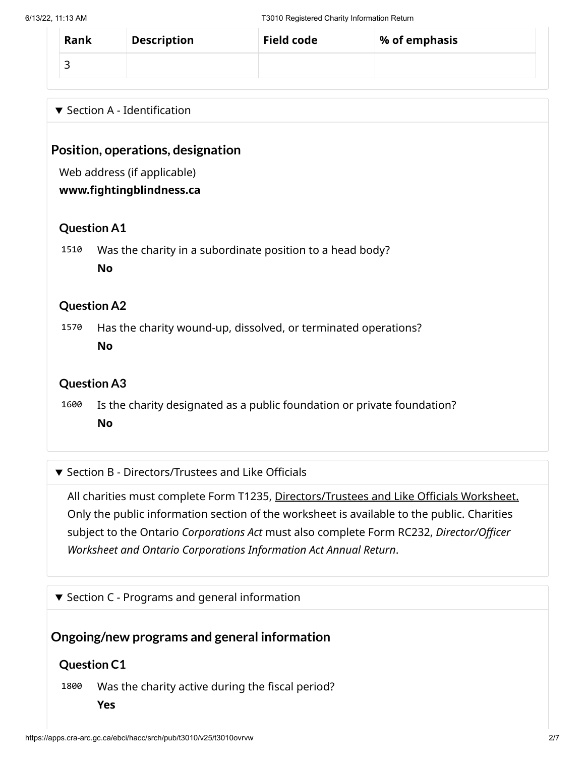| Rank | <b>Description</b> | <b>Field code</b> | % of emphasis |
|------|--------------------|-------------------|---------------|
|      |                    |                   |               |

### $\blacktriangledown$  Section A - Identification

## **Position, operations, designation**

Web address (if applicable)

#### **www.fightingblindness.ca**

### **Question A1**

1510 Was the charity in a subordinate position to a head body? **No**

### **Question A2**

1570 Has the charity wound-up, dissolved, or terminated operations? **No**

## **Question A3**

1600 Is the charity designated as a public foundation or private foundation? **No**

#### ▼ Section B - Directors/Trustees and Like Officials

All charities must complete Form T1235, [Directors/Trustees](https://apps.cra-arc.gc.ca/ebci/hacc/srch/pub/t3010/v25/t3010DrctrsTrstsLkOffcls_dsplyovrvw) and Like Officials Worksheet. Only the public information section of the worksheet is available to the public. Charities subject to the Ontario *Corporations Act* must also complete Form RC232, *Director/Officer Worksheet and Ontario Corporations Information Act Annual Return*.

 $\blacktriangledown$  Section C - Programs and general information

## **Ongoing/new programs and general information**

## **Question C1**

1800 Was the charity active during the fiscal period?

**Yes**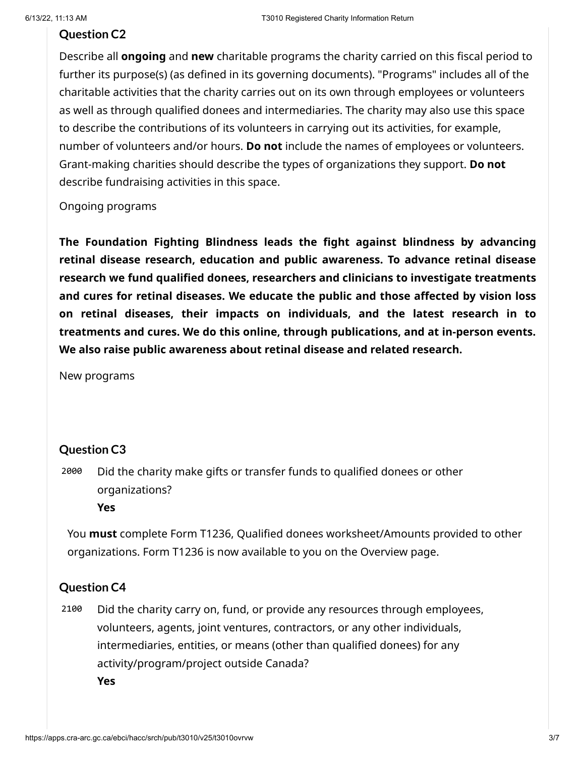#### **Question C2**

Describe all **ongoing** and **new** charitable programs the charity carried on this fiscal period to further its purpose(s) (as defined in its governing documents). "Programs" includes all of the charitable activities that the charity carries out on its own through employees or volunteers as well as through qualified donees and intermediaries. The charity may also use this space to describe the contributions of its volunteers in carrying out its activities, for example, number of volunteers and/or hours. **Do not** include the names of employees or volunteers. Grant-making charities should describe the types of organizations they support. **Do not** describe fundraising activities in this space.

Ongoing programs

**The Foundation Fighting Blindness leads the fight against blindness by advancing retinal disease research, education and public awareness. To advance retinal disease research we fund qualified donees, researchers and clinicians to investigate treatments and cures for retinal diseases. We educate the public and those affected by vision loss on retinal diseases, their impacts on individuals, and the latest research in to treatments and cures. We do this online, through publications, and at in-person events. We also raise public awareness about retinal disease and related research.**

New programs

#### **Question C3**

2000 Did the charity make gifts or transfer funds to qualified donees or other organizations? **Yes**

You **must** complete Form T1236, Qualified donees worksheet/Amounts provided to other organizations. Form T1236 is now available to you on the Overview page.

#### **Question C4**

2100 Did the charity carry on, fund, or provide any resources through employees, volunteers, agents, joint ventures, contractors, or any other individuals, intermediaries, entities, or means (other than qualified donees) for any activity/program/project outside Canada? **Yes**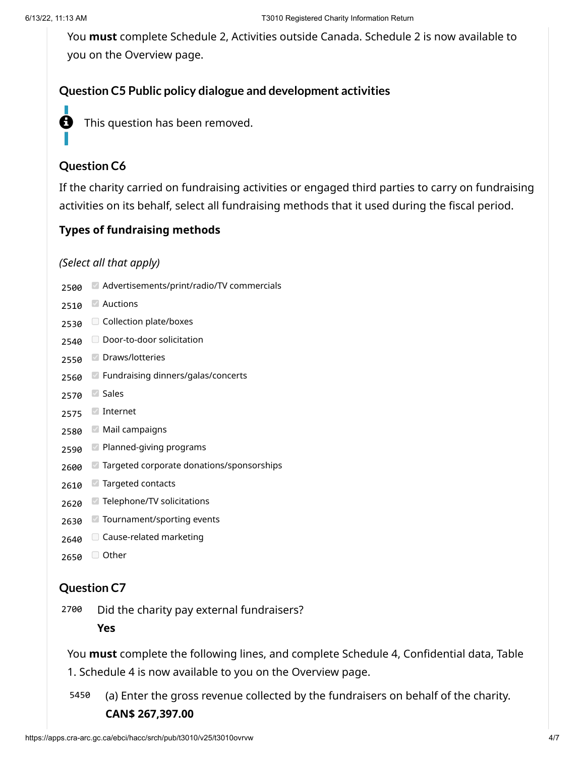You **must** complete Schedule 2, Activities outside Canada. Schedule 2 is now available to you on the Overview page.

## **Question C5 Public policy dialogue and development activities**



**f** This question has been removed.

# **Question C6**

If the charity carried on fundraising activities or engaged third parties to carry on fundraising activities on its behalf, select all fundraising methods that it used during the fiscal period.

## **Types of fundraising methods**

#### *(Select all that apply)*

- 2500 Advertisements/print/radio/TV commercials
- 2510 Auctions
- 2530 Collection plate/boxes
- 2540 Door-to-door solicitation
- 2550 Draws/lotteries
- 2560 Fundraising dinners/galas/concerts
- 2570 Sales
- 2575 Internet
- 2580 Mail campaigns
- 2590 Planned-giving programs
- 2600 Targeted corporate donations/sponsorships
- 2610 Targeted contacts
- 2620 Telephone/TV solicitations
- 2630 Tournament/sporting events
- 2640 Cause-related marketing
- 2650 <del>O</del> Other

## **Question C7**

2700 Did the charity pay external fundraisers?

**Yes**

You **must** complete the following lines, and complete Schedule 4, Confidential data, Table

1. Schedule 4 is now available to you on the Overview page.

5450 (a) Enter the gross revenue collected by the fundraisers on behalf of the charity. **CAN\$ 267,397.00**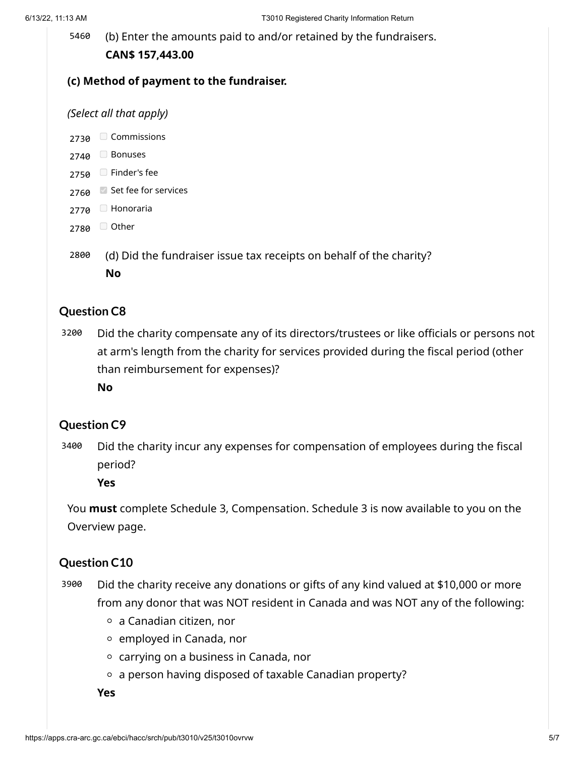5460 (b) Enter the amounts paid to and/or retained by the fundraisers. **CAN\$ 157,443.00**

#### **(c) Method of payment to the fundraiser.**

#### *(Select all that apply)*

2730 Commissions

- 2740 Bonuses
- 2750 Finder's fee
- 2760 Set fee for services
- 2770 Honoraria
- 2780 <del>□</del> Other
- 2800 (d) Did the fundraiser issue tax receipts on behalf of the charity? **No**

#### **Question C8**

3200 Did the charity compensate any of its directors/trustees or like officials or persons not at arm's length from the charity for services provided during the fiscal period (other than reimbursement for expenses)?

**No**

#### **Question C9**

3400 Did the charity incur any expenses for compensation of employees during the fiscal period?

**Yes**

You **must** complete Schedule 3, Compensation. Schedule 3 is now available to you on the Overview page.

#### **Question C10**

- 3900 Did the charity receive any donations or gifts of any kind valued at \$10,000 or more from any donor that was NOT resident in Canada and was NOT any of the following:
	- $\circ$  a Canadian citizen, nor
	- $\circ$  employed in Canada, nor
	- $\circ$  carrying on a business in Canada, nor
	- $\circ$  a person having disposed of taxable Canadian property?

**Yes**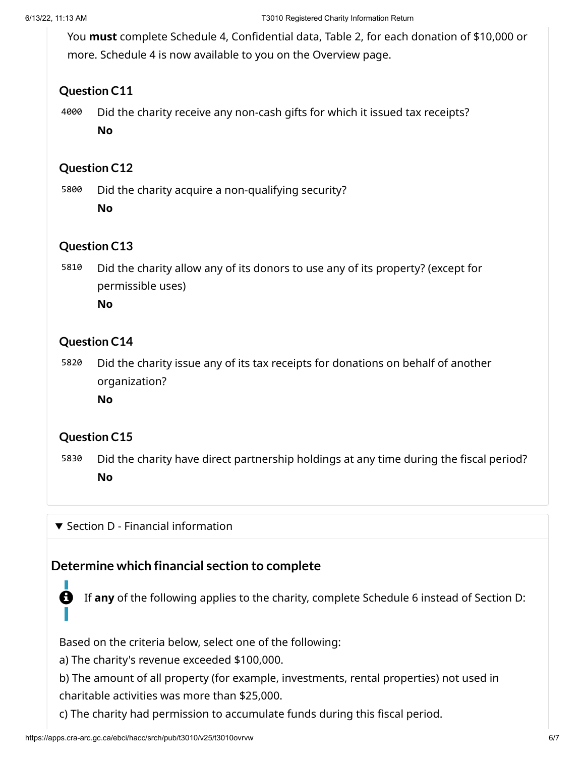You **must** complete Schedule 4, Confidential data, Table 2, for each donation of \$10,000 or more. Schedule 4 is now available to you on the Overview page.

## **Question C11**

4000 Did the charity receive any non-cash gifts for which it issued tax receipts?

**No**

## **Question C12**

5800 Did the charity acquire a non-qualifying security?

**No**

## **Question C13**

5810 Did the charity allow any of its donors to use any of its property? (except for permissible uses)

**No**

## **Question C14**

5820 Did the charity issue any of its tax receipts for donations on behalf of another organization?

**No**

# **Question C15**

5830 Did the charity have direct partnership holdings at any time during the fiscal period? **No**

 $\blacktriangledown$  Section D - Financial information

# **Determine which financial section to complete**

If **any** of the following applies to the charity, complete Schedule 6 instead of Section D:

Based on the criteria below, select one of the following:

a) The charity's revenue exceeded \$100,000.

b) The amount of all property (for example, investments, rental properties) not used in charitable activities was more than \$25,000.

c) The charity had permission to accumulate funds during this fiscal period.